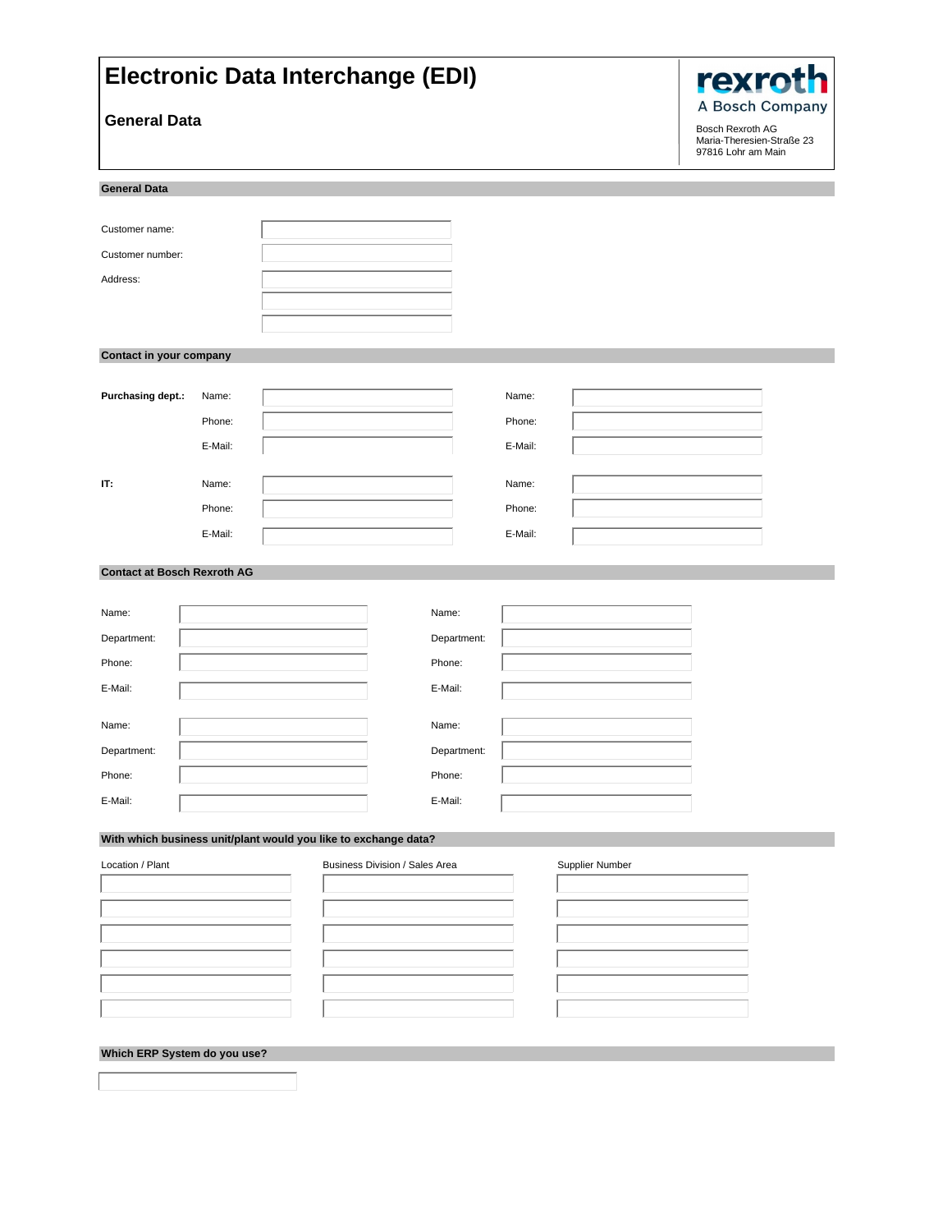| <b>Electronic Data Interchange (EDI)</b>                        | <b>rexrot</b> |  |                                |             |         |                 |                                                                                        |
|-----------------------------------------------------------------|---------------|--|--------------------------------|-------------|---------|-----------------|----------------------------------------------------------------------------------------|
| <b>General Data</b>                                             |               |  |                                |             |         |                 | A Bosch Company<br>Bosch Rexroth AG<br>Maria-Theresien-Straße 23<br>97816 Lohr am Main |
| <b>General Data</b>                                             |               |  |                                |             |         |                 |                                                                                        |
|                                                                 |               |  |                                |             |         |                 |                                                                                        |
| Customer name:<br>Customer number:                              |               |  |                                |             |         |                 |                                                                                        |
| Address:                                                        |               |  |                                |             |         |                 |                                                                                        |
|                                                                 |               |  |                                |             |         |                 |                                                                                        |
|                                                                 |               |  |                                |             |         |                 |                                                                                        |
| Contact in your company                                         |               |  |                                |             |         |                 |                                                                                        |
|                                                                 |               |  |                                |             |         |                 |                                                                                        |
| Purchasing dept.:                                               | Name:         |  |                                |             | Name:   |                 |                                                                                        |
|                                                                 | Phone:        |  |                                |             | Phone:  |                 |                                                                                        |
|                                                                 | E-Mail:       |  |                                |             | E-Mail: |                 |                                                                                        |
| П.                                                              | Name:         |  |                                |             | Name:   |                 |                                                                                        |
|                                                                 | Phone:        |  |                                |             | Phone:  |                 |                                                                                        |
|                                                                 | E-Mail:       |  |                                |             | E-Mail: |                 |                                                                                        |
|                                                                 |               |  |                                |             |         |                 |                                                                                        |
| <b>Contact at Bosch Rexroth AG</b>                              |               |  |                                |             |         |                 |                                                                                        |
| Name:                                                           |               |  |                                | Name:       |         |                 |                                                                                        |
| Department:                                                     |               |  |                                | Department: |         |                 |                                                                                        |
| Phone:                                                          |               |  |                                | Phone:      |         |                 |                                                                                        |
| E-Mail:                                                         |               |  |                                | E-Mail:     |         |                 |                                                                                        |
|                                                                 |               |  |                                |             |         |                 |                                                                                        |
| Name:                                                           |               |  |                                | Name:       |         |                 |                                                                                        |
| Department:                                                     |               |  |                                | Department: |         |                 |                                                                                        |
| Phone:                                                          |               |  |                                | Phone:      |         |                 |                                                                                        |
| E-Mail:                                                         |               |  |                                | E-Mail:     |         |                 |                                                                                        |
| With which business unit/plant would you like to exchange data? |               |  |                                |             |         |                 |                                                                                        |
| Location / Plant                                                |               |  | Business Division / Sales Area |             |         | Supplier Number |                                                                                        |
|                                                                 |               |  |                                |             |         |                 |                                                                                        |
|                                                                 |               |  |                                |             |         |                 |                                                                                        |
|                                                                 |               |  |                                |             |         |                 |                                                                                        |
|                                                                 |               |  |                                |             |         |                 |                                                                                        |
|                                                                 |               |  |                                |             |         |                 |                                                                                        |
|                                                                 |               |  |                                |             |         |                 |                                                                                        |
| Which ERP System do you use?                                    |               |  |                                |             |         |                 |                                                                                        |
|                                                                 |               |  |                                |             |         |                 |                                                                                        |
|                                                                 |               |  |                                |             |         |                 |                                                                                        |